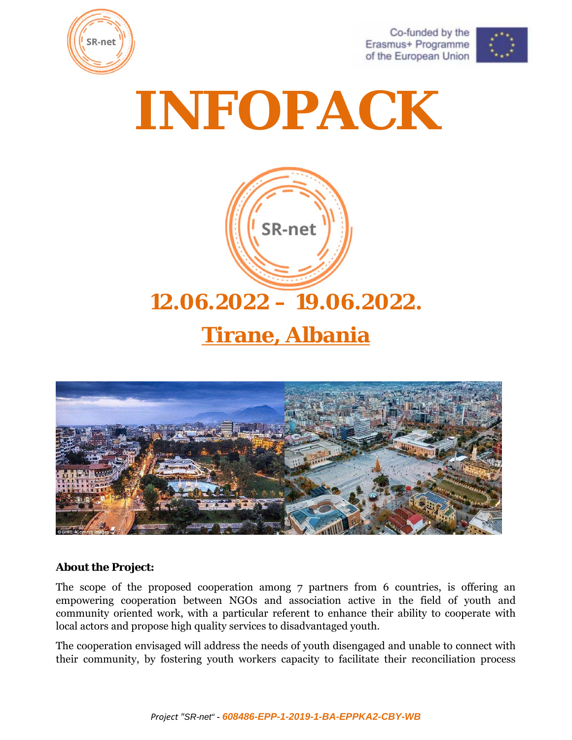

Co-funded by the Erasmus+ Programme of the European Union



# **INFOPACK**



# **12.06.2022 – 19.06.2022.**

# **Tirane, Albania**



#### **About the Project:**

The scope of the proposed cooperation among 7 partners from 6 countries, is offering an empowering cooperation between NGOs and association active in the field of youth and community oriented work, with a particular referent to enhance their ability to cooperate with local actors and propose high quality services to disadvantaged youth.

The cooperation envisaged will address the needs of youth disengaged and unable to connect with their community, by fostering youth workers capacity to facilitate their reconciliation process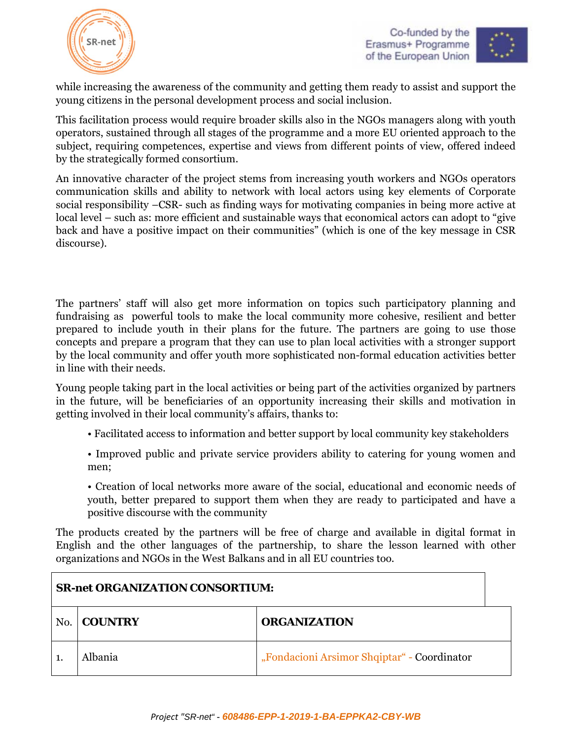



while increasing the awareness of the community and getting them ready to assist and support the young citizens in the personal development process and social inclusion.

This facilitation process would require broader skills also in the NGOs managers along with youth operators, sustained through all stages of the programme and a more EU oriented approach to the subject, requiring competences, expertise and views from different points of view, offered indeed by the strategically formed consortium.

An innovative character of the project stems from increasing youth workers and NGOs operators communication skills and ability to network with local actors using key elements of Corporate social responsibility –CSR- such as finding ways for motivating companies in being more active at local level – such as: more efficient and sustainable ways that economical actors can adopt to "give back and have a positive impact on their communities" (which is one of the key message in CSR discourse).

The partners' staff will also get more information on topics such participatory planning and fundraising as powerful tools to make the local community more cohesive, resilient and better prepared to include youth in their plans for the future. The partners are going to use those concepts and prepare a program that they can use to plan local activities with a stronger support by the local community and offer youth more sophisticated non-formal education activities better in line with their needs.

Young people taking part in the local activities or being part of the activities organized by partners in the future, will be beneficiaries of an opportunity increasing their skills and motivation in getting involved in their local community's affairs, thanks to:

- Facilitated access to information and better support by local community key stakeholders
- Improved public and private service providers ability to catering for young women and men;

• Creation of local networks more aware of the social, educational and economic needs of youth, better prepared to support them when they are ready to participated and have a positive discourse with the community

The products created by the partners will be free of charge and available in digital format in English and the other languages of the partnership, to share the lesson learned with other organizations and NGOs in the West Balkans and in all EU countries too.

| <b>SR-net ORGANIZATION CONSORTIUM:</b> |                                       |                                             |  |
|----------------------------------------|---------------------------------------|---------------------------------------------|--|
| No.                                    | <b>ORGANIZATION</b><br><b>COUNTRY</b> |                                             |  |
|                                        | Albania                               | "Fondacioni Arsimor Shqiptar" - Coordinator |  |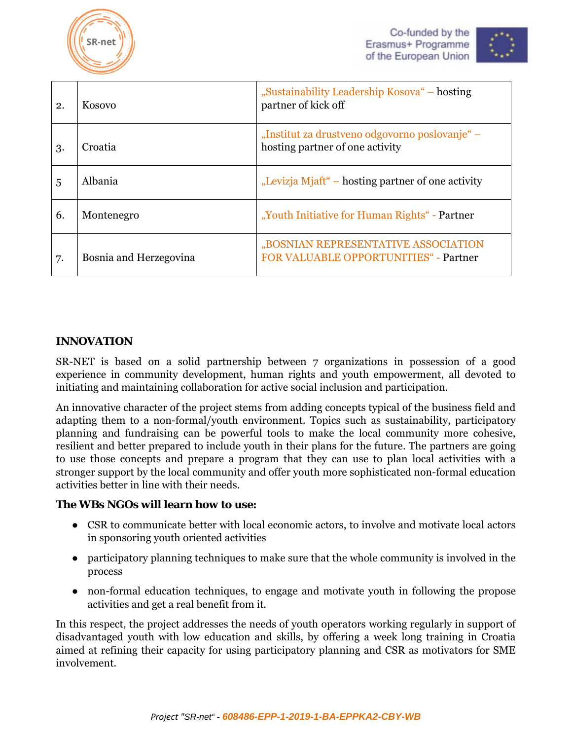



| 2. | Kosovo                 | "Sustainability Leadership Kosova" – hosting<br>partner of kick off               |  |
|----|------------------------|-----------------------------------------------------------------------------------|--|
| 3. | Croatia                | "Institut za drustveno odgovorno poslovanje" –<br>hosting partner of one activity |  |
| 5  | Albania                | "Levizja Mjaft" – hosting partner of one activity                                 |  |
| 6. | Montenegro             | "Youth Initiative for Human Rights" - Partner                                     |  |
| 7. | Bosnia and Herzegovina | "BOSNIAN REPRESENTATIVE ASSOCIATION<br>FOR VALUABLE OPPORTUNITIES" - Partner      |  |

#### **INNOVATION**

SR-NET is based on a solid partnership between 7 organizations in possession of a good experience in community development, human rights and youth empowerment, all devoted to initiating and maintaining collaboration for active social inclusion and participation.

An innovative character of the project stems from adding concepts typical of the business field and adapting them to a non-formal/youth environment. Topics such as sustainability, participatory planning and fundraising can be powerful tools to make the local community more cohesive, resilient and better prepared to include youth in their plans for the future. The partners are going to use those concepts and prepare a program that they can use to plan local activities with a stronger support by the local community and offer youth more sophisticated non-formal education activities better in line with their needs.

#### **The WBs NGOs will learn how to use:**

- CSR to communicate better with local economic actors, to involve and motivate local actors in sponsoring youth oriented activities
- participatory planning techniques to make sure that the whole community is involved in the process
- non-formal education techniques, to engage and motivate youth in following the propose activities and get a real benefit from it.

In this respect, the project addresses the needs of youth operators working regularly in support of disadvantaged youth with low education and skills, by offering a week long training in Croatia aimed at refining their capacity for using participatory planning and CSR as motivators for SME involvement.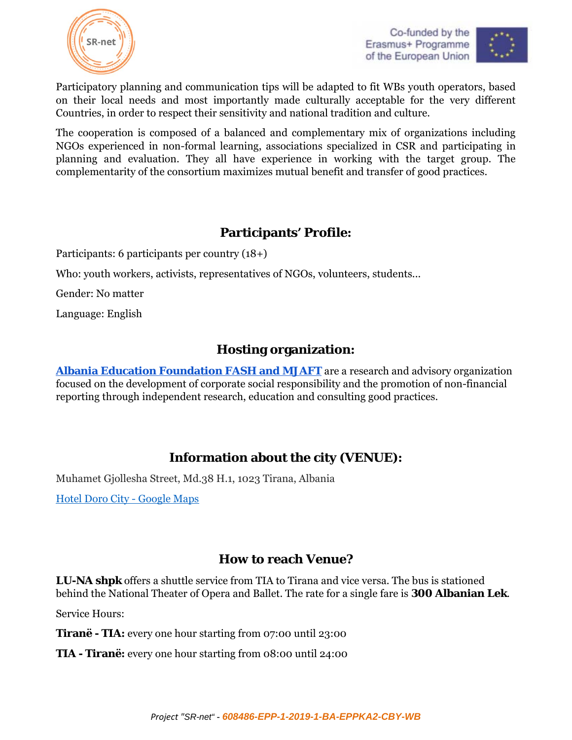



Participatory planning and communication tips will be adapted to fit WBs youth operators, based on their local needs and most importantly made culturally acceptable for the very different Countries, in order to respect their sensitivity and national tradition and culture.

The cooperation is composed of a balanced and complementary mix of organizations including NGOs experienced in non-formal learning, associations specialized in CSR and participating in planning and evaluation. They all have experience in working with the target group. The complementarity of the consortium maximizes mutual benefit and transfer of good practices.

# **Participants' Profile:**

Participants: 6 participants per country (18+)

Who: youth workers, activists, representatives of NGOs, volunteers, students...

Gender: No matter

Language: English

#### **Hosting organization:**

**Albania Education Foundation FASH and MJAFT** are a research and advisory organization focused on the development of corporate social responsibility and the promotion of non-financial reporting through independent research, education and consulting good practices.

## **Information about the city (VENUE):**

Muhamet Gjollesha Street, Md.38 H.1, 1023 Tirana, Albania

Hotel Doro City - Google Maps

#### **How to reach Venue?**

**LU-NA shpk** offers a shuttle service from TIA to Tirana and vice versa. The bus is stationed behind the National Theater of Opera and Ballet. The rate for a single fare is **300 Albanian Lek**.

Service Hours:

**Tiranë - TIA:** every one hour starting from 07:00 until 23:00

**TIA - Tiranë:** every one hour starting from 08:00 until 24:00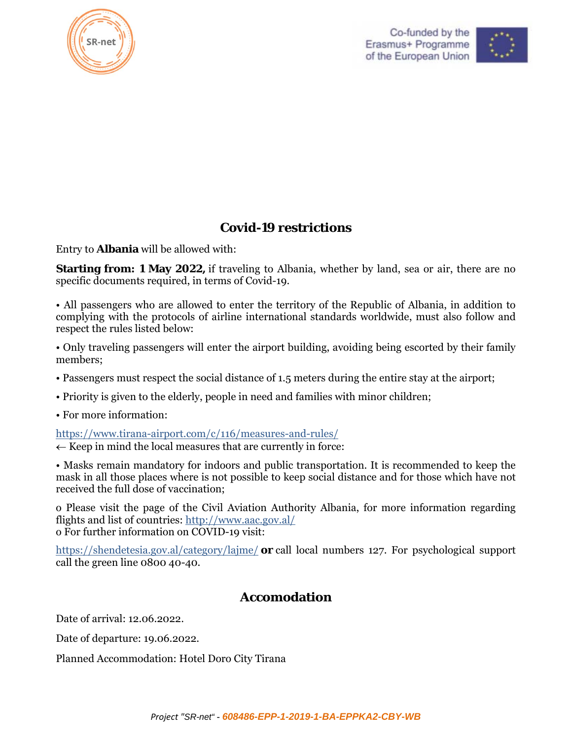



# **Covid-19 restrictions**

Entry to **Albania** will be allowed with:

**Starting from: 1 May 2022,** if traveling to Albania, whether by land, sea or air, there are no specific documents required, in terms of Covid-19.

• All passengers who are allowed to enter the territory of the Republic of Albania, in addition to complying with the protocols of airline international standards worldwide, must also follow and respect the rules listed below:

• Only traveling passengers will enter the airport building, avoiding being escorted by their family members;

- Passengers must respect the social distance of 1.5 meters during the entire stay at the airport;
- Priority is given to the elderly, people in need and families with minor children;
- For more information:

https://www.tirana-airport.com/c/116/measures-and-rules/

 $\leftarrow$  Keep in mind the local measures that are currently in force:

• Masks remain mandatory for indoors and public transportation. It is recommended to keep the mask in all those places where is not possible to keep social distance and for those which have not received the full dose of vaccination;

o Please visit the page of the Civil Aviation Authority Albania, for more information regarding flights and list of countries: http://www.aac.gov.al/ o For further information on COVID-19 visit:

https://shendetesia.gov.al/category/lajme/ **or** call local numbers 127. For psychological support call the green line 0800 40-40.

## **Accomodation**

Date of arrival: 12.06.2022.

Date of departure: 19.06.2022.

Planned Accommodation: Hotel Doro City Tirana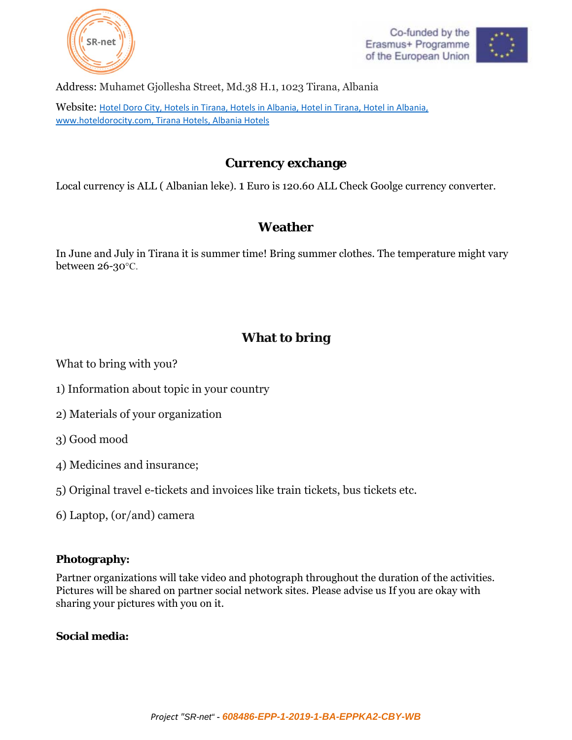





Address: Muhamet Gjollesha Street, Md.38 H.1, 1023 Tirana, Albania

Website: Hotel Doro City, Hotels in Tirana, Hotels in Albania, Hotel in Tirana, Hotel in Albania, www.hoteldorocity.com, Tirana Hotels, Albania Hotels

## **Currency exchange**

Local currency is ALL ( Albanian leke). 1 Euro is 120.60 ALL Check Goolge currency converter.

# **Weather**

In June and July in Tirana it is summer time! Bring summer clothes. The temperature might vary between 26-30°C.

# **What to bring**

What to bring with you?

- 1) Information about topic in your country
- 2) Materials of your organization
- 3) Good mood
- 4) Medicines and insurance;
- 5) Original travel e-tickets and invoices like train tickets, bus tickets etc.
- 6) Laptop, (or/and) camera

#### **Photography:**

Partner organizations will take video and photograph throughout the duration of the activities. Pictures will be shared on partner social network sites. Please advise us If you are okay with sharing your pictures with you on it.

#### **Social media:**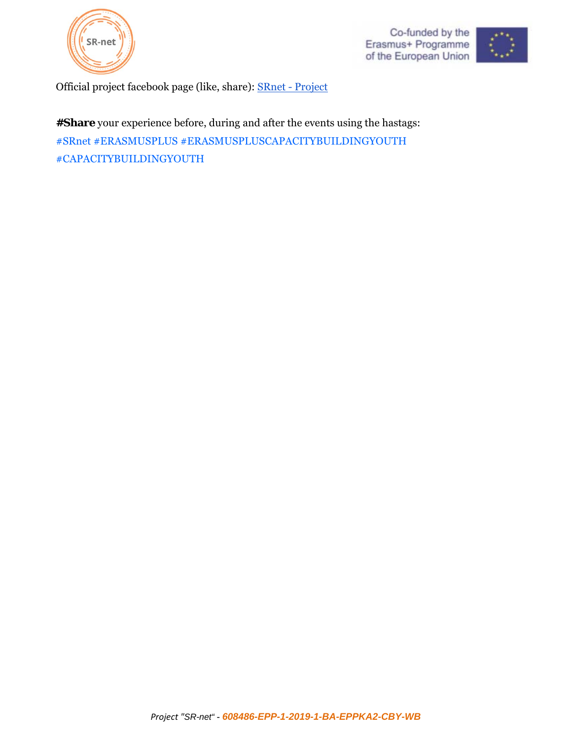





Official project facebook page (like, share): SRnet - Project

**#Share** your experience before, during and after the events using the hastags: #SRnet #ERASMUSPLUS #ERASMUSPLUSCAPACITYBUILDINGYOUTH #CAPACITYBUILDINGYOUTH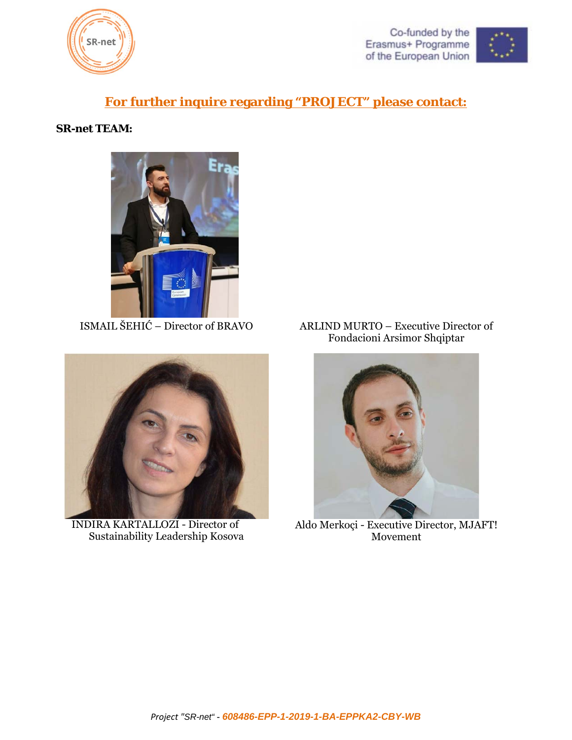



#### **For further inquire regarding "PROJECT" please contact:**

#### **SR-net TEAM:**





INDIRA KARTALLOZI - Director of Sustainability Leadership Kosova

ISMAIL ŠEHIĆ – Director of BRAVO ARLIND MURTO – Executive Director of Fondacioni Arsimor Shqiptar



Aldo Merkoçi - Executive Director, MJAFT! Movement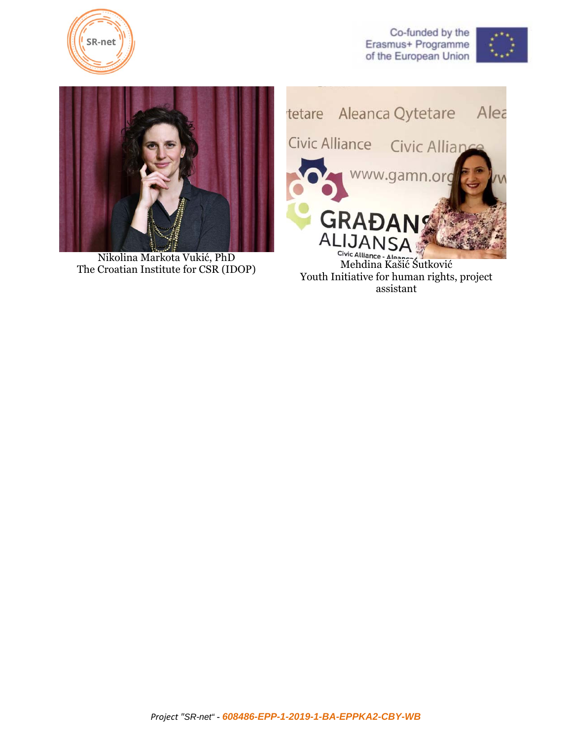

Co-funded by the Erasmus+ Programme of the European Union





Nikolina Markota Vukić, PhD<br>The Croatian Institute for CSR (IDOP) Mehdina Kašić Šutković